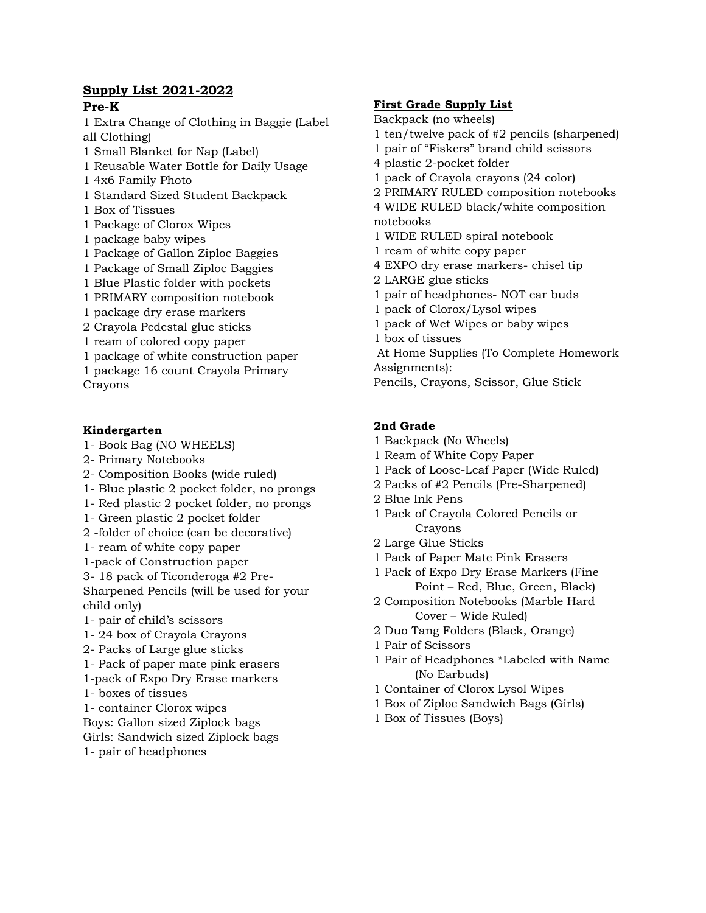### **Supply List 2021-2022 Pre-K**

1 Extra Change of Clothing in Baggie (Label all Clothing)

- 1 Small Blanket for Nap (Label)
- 1 Reusable Water Bottle for Daily Usage
- 1 4x6 Family Photo
- 1 Standard Sized Student Backpack
- 1 Box of Tissues
- 1 Package of Clorox Wipes
- 1 package baby wipes
- 1 Package of Gallon Ziploc Baggies
- 1 Package of Small Ziploc Baggies
- 1 Blue Plastic folder with pockets
- 1 PRIMARY composition notebook
- 1 package dry erase markers
- 2 Crayola Pedestal glue sticks
- 1 ream of colored copy paper
- 1 package of white construction paper
- 1 package 16 count Crayola Primary

Crayons

# **Kindergarten**

- 1- Book Bag (NO WHEELS)
- 2- Primary Notebooks
- 2- Composition Books (wide ruled)
- 1- Blue plastic 2 pocket folder, no prongs
- 1- Red plastic 2 pocket folder, no prongs
- 1- Green plastic 2 pocket folder
- 2 -folder of choice (can be decorative)
- 1- ream of white copy paper
- 1-pack of Construction paper
- 3- 18 pack of Ticonderoga #2 Pre-

Sharpened Pencils (will be used for your child only)

- 1- pair of child's scissors
- 1- 24 box of Crayola Crayons
- 2- Packs of Large glue sticks
- 1- Pack of paper mate pink erasers
- 1-pack of Expo Dry Erase markers
- 1- boxes of tissues
- 1- container Clorox wipes
- Boys: Gallon sized Ziplock bags
- Girls: Sandwich sized Ziplock bags
- 1- pair of headphones

# **First Grade Supply List**

- Backpack (no wheels)
- 1 ten/twelve pack of #2 pencils (sharpened)
- 1 pair of "Fiskers" brand child scissors
- 4 plastic 2-pocket folder
- 1 pack of Crayola crayons (24 color)
- 2 PRIMARY RULED composition notebooks
- 4 WIDE RULED black/white composition notebooks
- 1 WIDE RULED spiral notebook
- 1 ream of white copy paper
- 4 EXPO dry erase markers- chisel tip
- 2 LARGE glue sticks
- 1 pair of headphones- NOT ear buds
- 1 pack of Clorox/Lysol wipes
- 1 pack of Wet Wipes or baby wipes
- 1 box of tissues
- At Home Supplies (To Complete Homework Assignments):
- Pencils, Crayons, Scissor, Glue Stick

# **2nd Grade**

- 1 Backpack (No Wheels)
- 1 Ream of White Copy Paper
- 1 Pack of Loose-Leaf Paper (Wide Ruled)
- 2 Packs of #2 Pencils (Pre-Sharpened)
- 2 Blue Ink Pens
- 1 Pack of Crayola Colored Pencils or Crayons
- 2 Large Glue Sticks
- 1 Pack of Paper Mate Pink Erasers
- 1 Pack of Expo Dry Erase Markers (Fine Point – Red, Blue, Green, Black)
- 2 Composition Notebooks (Marble Hard Cover – Wide Ruled)
- 2 Duo Tang Folders (Black, Orange)
- 1 Pair of Scissors
- 1 Pair of Headphones \*Labeled with Name (No Earbuds)
- 1 Container of Clorox Lysol Wipes
- 1 Box of Ziploc Sandwich Bags (Girls)
- 1 Box of Tissues (Boys)